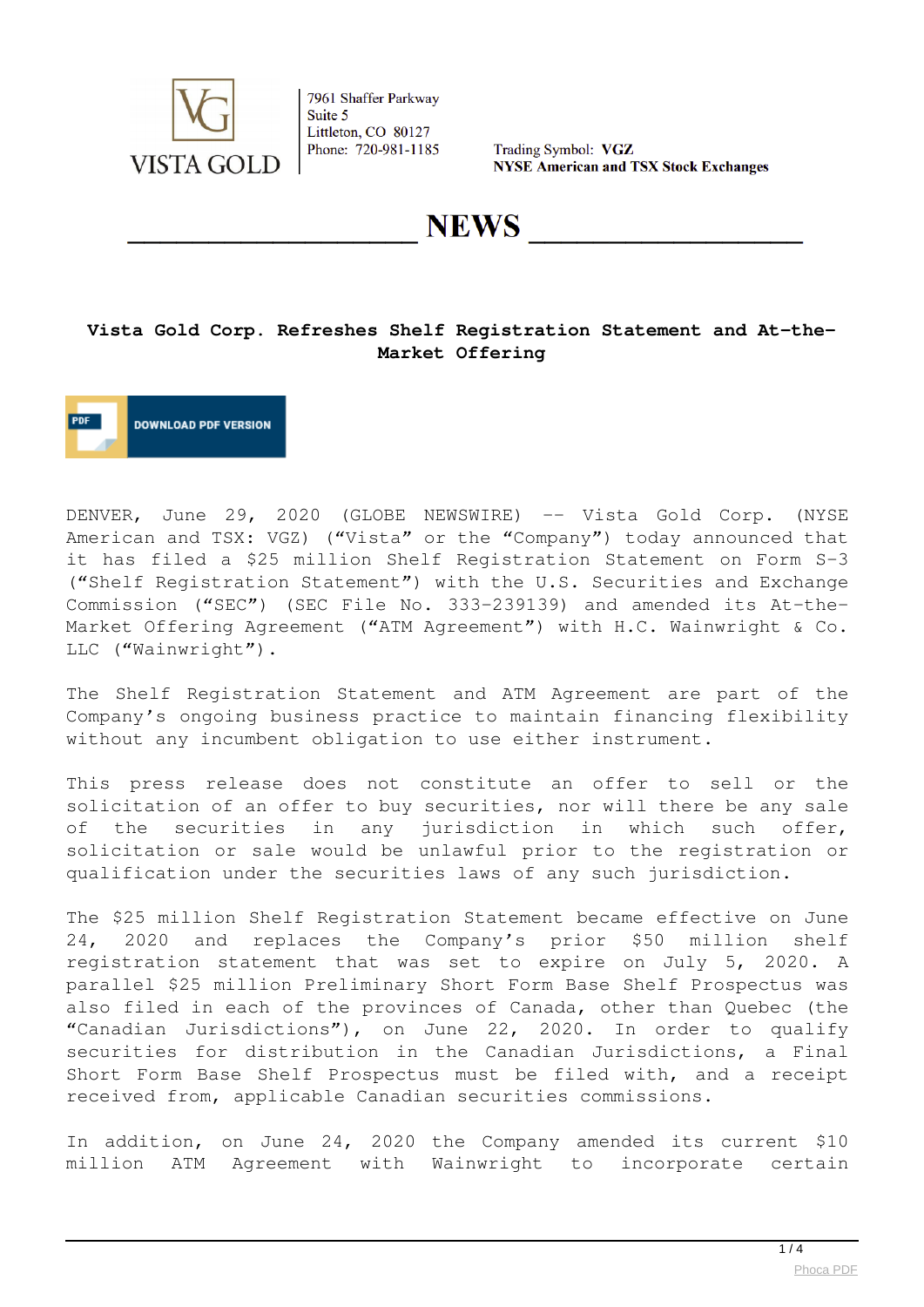

Trading Symbol: VGZ **NYSE American and TSX Stock Exchanges** 

**NEWS** 

#### **Vista Gold Corp. Refreshes Shelf Registration Statement and At-the-Market Offering**

**DOWNLOAD PDF VERSION** 

DENVER, June 29, 2020 (GLOBE NEWSWIRE) -- Vista Gold Corp. (NYSE American and TSX: VGZ) ("Vista" or the "Company") today announced that it has filed a \$25 million Shelf Registration Statement on Form S-3 ("Shelf Registration Statement") with the U.S. Securities and Exchange Commission ("SEC") (SEC File No. 333-239139) and amended its At-the-Market Offering Agreement ("ATM Agreement") with H.C. Wainwright & Co. LLC ("Wainwright").

The Shelf Registration Statement and ATM Agreement are part of the Company's ongoing business practice to maintain financing flexibility without any incumbent obligation to use either instrument.

This press release does not constitute an offer to sell or the solicitation of an offer to buy securities, nor will there be any sale of the securities in any jurisdiction in which such offer, solicitation or sale would be unlawful prior to the registration or qualification under the securities laws of any such jurisdiction.

The \$25 million Shelf Registration Statement became effective on June 24, 2020 and replaces the Company's prior \$50 million shelf registration statement that was set to expire on July 5, 2020. A parallel \$25 million Preliminary Short Form Base Shelf Prospectus was also filed in each of the provinces of Canada, other than Quebec (the "Canadian Jurisdictions"), on June 22, 2020. In order to qualify securities for distribution in the Canadian Jurisdictions, a Final Short Form Base Shelf Prospectus must be filed with, and a receipt received from, applicable Canadian securities commissions.

In addition, on June 24, 2020 the Company amended its current \$10 million ATM Agreement with Wainwright to incorporate certain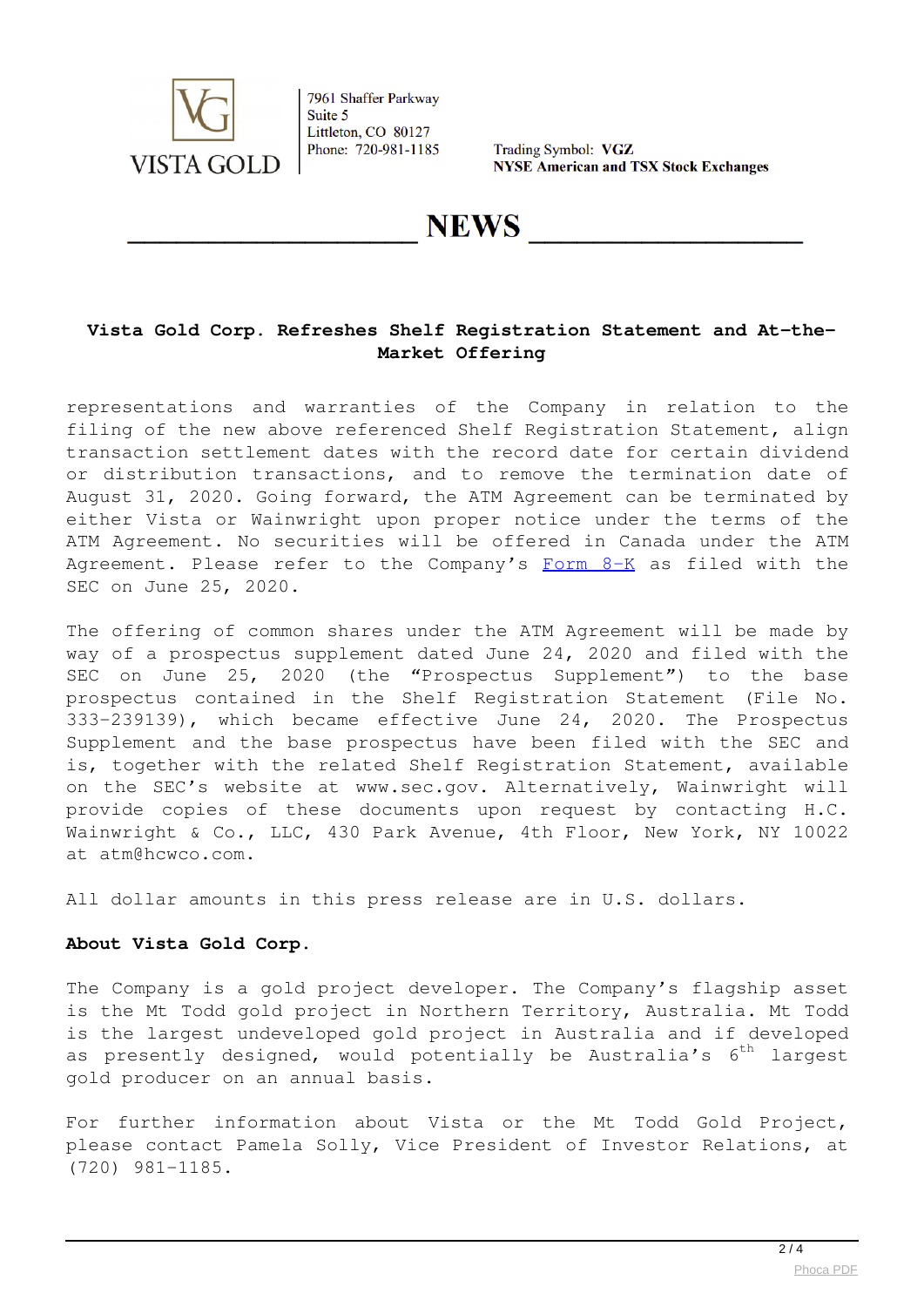

Trading Symbol: VGZ **NYSE American and TSX Stock Exchanges** 

# **NEWS**

## **Vista Gold Corp. Refreshes Shelf Registration Statement and At-the-Market Offering**

representations and warranties of the Company in relation to the filing of the new above referenced Shelf Registration Statement, align transaction settlement dates with the record date for certain dividend or distribution transactions, and to remove the termination date of August 31, 2020. Going forward, the ATM Agreement can be terminated by either Vista or Wainwright upon proper notice under the terms of the ATM Agreement. No securities will be offered in Canada under the ATM Agreement. Please refer to the Company's  $\frac{F\text{ or }B-K}{F}$  as filed with the SEC on June 25, 2020.

The offering of common shares under the ATM Agreement will be made by way of a prospectus supplement dated June 24, 2020 and filed with the SEC on June 25, 2020 (the "Prospectus Supplement") to the base prospectus contained in the Shelf Registration Statement (File No. 333-239139), which became effective June 24, 2020. The Prospectus Supplement and the base prospectus have been filed with the SEC and is, together with the related Shelf Registration Statement, available on the SEC's website at www.sec.gov. Alternatively, Wainwright will provide copies of these documents upon request by contacting H.C. Wainwright & Co., LLC, 430 Park Avenue, 4th Floor, New York, NY 10022 at atm@hcwco.com.

All dollar amounts in this press release are in U.S. dollars.

#### **About Vista Gold Corp.**

The Company is a gold project developer. The Company's flagship asset is the Mt Todd gold project in Northern Territory, Australia. Mt Todd is the largest undeveloped gold project in Australia and if developed as presently designed, would potentially be Australia's  $6^{th}$  largest gold producer on an annual basis.

For further information about Vista or the Mt Todd Gold Project, please contact Pamela Solly, Vice President of Investor Relations, at (720) 981-1185.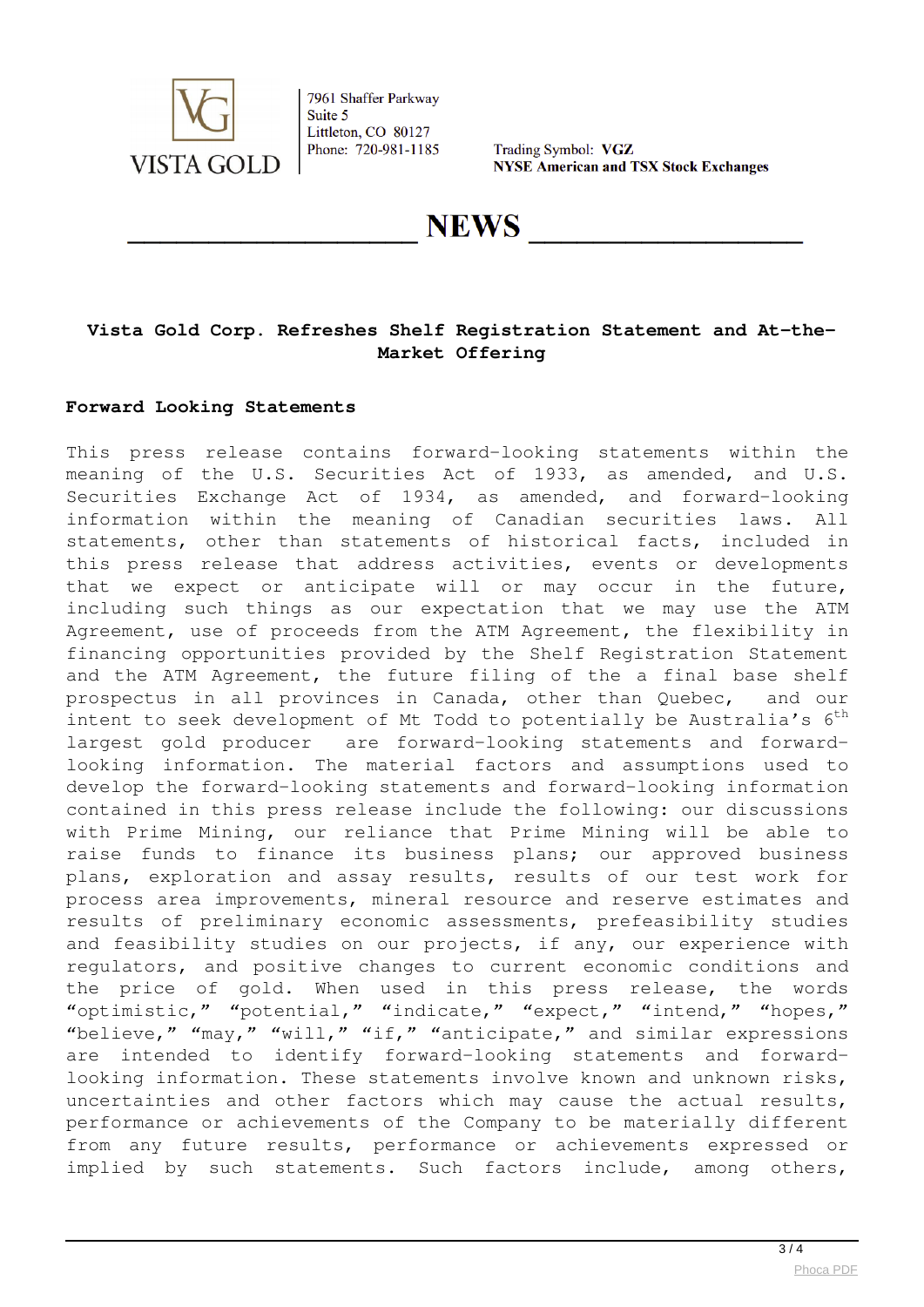

Trading Symbol: VGZ **NYSE American and TSX Stock Exchanges** 

**NEWS** 

## **Vista Gold Corp. Refreshes Shelf Registration Statement and At-the-Market Offering**

#### **Forward Looking Statements**

This press release contains forward-looking statements within the meaning of the U.S. Securities Act of 1933, as amended, and U.S. Securities Exchange Act of 1934, as amended, and forward-looking information within the meaning of Canadian securities laws. All statements, other than statements of historical facts, included in this press release that address activities, events or developments that we expect or anticipate will or may occur in the future, including such things as our expectation that we may use the ATM Agreement, use of proceeds from the ATM Agreement, the flexibility in financing opportunities provided by the Shelf Registration Statement and the ATM Agreement, the future filing of the a final base shelf prospectus in all provinces in Canada, other than Quebec, and our intent to seek development of Mt Todd to potentially be Australia's  $6^{th}$ largest gold producer are forward-looking statements and forwardlooking information. The material factors and assumptions used to develop the forward-looking statements and forward-looking information contained in this press release include the following: our discussions with Prime Mining, our reliance that Prime Mining will be able to raise funds to finance its business plans; our approved business plans, exploration and assay results, results of our test work for process area improvements, mineral resource and reserve estimates and results of preliminary economic assessments, prefeasibility studies and feasibility studies on our projects, if any, our experience with regulators, and positive changes to current economic conditions and the price of gold. When used in this press release, the words "optimistic," "potential," "indicate," "expect," "intend," "hopes," "believe," "may," "will," "if," "anticipate," and similar expressions are intended to identify forward-looking statements and forwardlooking information. These statements involve known and unknown risks, uncertainties and other factors which may cause the actual results, performance or achievements of the Company to be materially different from any future results, performance or achievements expressed or implied by such statements. Such factors include, among others,